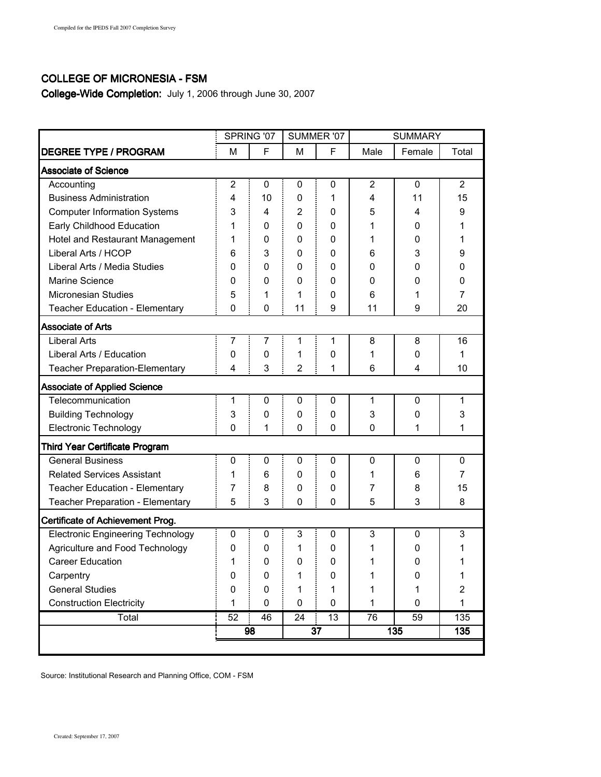## COLLEGE OF MICRONESIA - FSM

College-Wide Completion: July 1, 2006 through June 30, 2007

|                                          | SPRING '07     |             | SUMMER '07     |    | <b>SUMMARY</b> |              |                |
|------------------------------------------|----------------|-------------|----------------|----|----------------|--------------|----------------|
| <b>DEGREE TYPE / PROGRAM</b>             | M              | F           | М              | F  | Male           | Female       | Total          |
| <b>Associate of Science</b>              |                |             |                |    |                |              |                |
| Accounting                               | $\overline{c}$ | $\mathbf 0$ | 0              | 0  | $\overline{2}$ | $\mathbf{0}$ | $\overline{2}$ |
| <b>Business Administration</b>           | 4              | 10          | 0              | 1  | 4              | 11           | 15             |
| <b>Computer Information Systems</b>      | 3              | 4           | $\overline{2}$ | 0  | 5              | 4            | 9              |
| Early Childhood Education                | 1              | 0           | 0              | 0  | 1              | 0            | 1              |
| Hotel and Restaurant Management          | 1              | 0           | 0              | 0  | 1              | 0            | 1              |
| Liberal Arts / HCOP                      | 6              | 3           | 0              | 0  | 6              | 3            | 9              |
| Liberal Arts / Media Studies             | 0              | 0           | 0              | 0  | 0              | 0            | 0              |
| Marine Science                           | 0              | 0           | 0              | 0  | 0              | 0            | 0              |
| Micronesian Studies                      | 5              | 1           | 1              | 0  | 6              | 1            | 7              |
| Teacher Education - Elementary           | $\mathbf{0}$   | 0           | 11             | 9  | 11             | 9            | 20             |
| <b>Associate of Arts</b>                 |                |             |                |    |                |              |                |
| <b>Liberal Arts</b>                      | 7              | 7           | 1              | 1  | 8              | 8            | 16             |
| Liberal Arts / Education                 | 0              | 0           | 1              | 0  | 1              | 0            | 1              |
| <b>Teacher Preparation-Elementary</b>    | 4              | 3           | 2              | 1  | 6              | 4            | 10             |
| <b>Associate of Applied Science</b>      |                |             |                |    |                |              |                |
| Telecommunication                        | 1              | 0           | $\mathbf 0$    | 0  | 1              | $\mathbf{0}$ | 1              |
| <b>Building Technology</b>               | 3              | 0           | 0              | 0  | 3              | 0            | 3              |
| <b>Electronic Technology</b>             | $\mathbf{0}$   | 1           | 0              | 0  | $\mathbf 0$    | 1            | 1              |
| <b>Third Year Certificate Program</b>    |                |             |                |    |                |              |                |
| <b>General Business</b>                  | 0              | 0           | 0              | 0  | $\mathbf 0$    | $\mathbf{0}$ | $\mathbf{0}$   |
| <b>Related Services Assistant</b>        | 1              | 6           | 0              | 0  | 1              | 6            | 7              |
| Teacher Education - Elementary           | 7              | 8           | 0              | 0  | 7              | 8            | 15             |
| Teacher Preparation - Elementary         | 5              | 3           | 0              | 0  | 5              | 3            | 8              |
| <b>Certificate of Achievement Prog.</b>  |                |             |                |    |                |              |                |
| <b>Electronic Engineering Technology</b> | 0              | 0           | 3              | 0  | 3              | 0            | 3              |
| Agriculture and Food Technology          | 0              | 0           | 1              | 0  | 1              | 0            |                |
| <b>Career Education</b>                  | 1              | 0           | 0              | 0  | 1              | 0            | 1              |
| Carpentry                                | 0              | 0           | 1              | 0  | 1              | 0            | 1              |
| <b>General Studies</b>                   | 0              | 0           | 1              | 1  | 1              | 1            | $\overline{2}$ |
| <b>Construction Electricity</b>          | 1              | 0           | 0              | 0  | 1              | $\mathbf 0$  | $\mathbf{1}$   |
| Total                                    | 52             | 46          | 24             | 13 | 76             | 59           | 135            |
|                                          |                | 98          | 37             |    | 135            |              | 135            |
|                                          |                |             |                |    |                |              |                |

Source: Institutional Research and Planning Office, COM - FSM